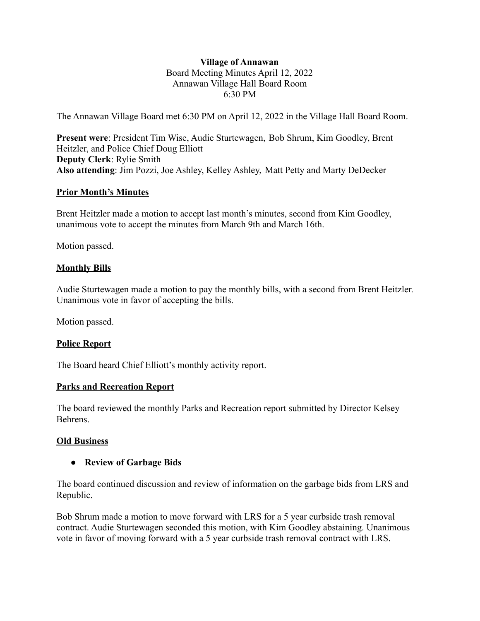### **Village of Annawan** Board Meeting Minutes April 12, 2022 Annawan Village Hall Board Room 6:30 PM

The Annawan Village Board met 6:30 PM on April 12, 2022 in the Village Hall Board Room.

**Present were**: President Tim Wise, Audie Sturtewagen, Bob Shrum, Kim Goodley, Brent Heitzler, and Police Chief Doug Elliott **Deputy Clerk**: Rylie Smith **Also attending**: Jim Pozzi, Joe Ashley, Kelley Ashley, Matt Petty and Marty DeDecker

### **Prior Month's Minutes**

Brent Heitzler made a motion to accept last month's minutes, second from Kim Goodley, unanimous vote to accept the minutes from March 9th and March 16th.

Motion passed.

### **Monthly Bills**

Audie Sturtewagen made a motion to pay the monthly bills, with a second from Brent Heitzler. Unanimous vote in favor of accepting the bills.

Motion passed.

### **Police Report**

The Board heard Chief Elliott's monthly activity report.

### **Parks and Recreation Report**

The board reviewed the monthly Parks and Recreation report submitted by Director Kelsey Behrens.

### **Old Business**

### **● Review of Garbage Bids**

The board continued discussion and review of information on the garbage bids from LRS and Republic.

Bob Shrum made a motion to move forward with LRS for a 5 year curbside trash removal contract. Audie Sturtewagen seconded this motion, with Kim Goodley abstaining. Unanimous vote in favor of moving forward with a 5 year curbside trash removal contract with LRS.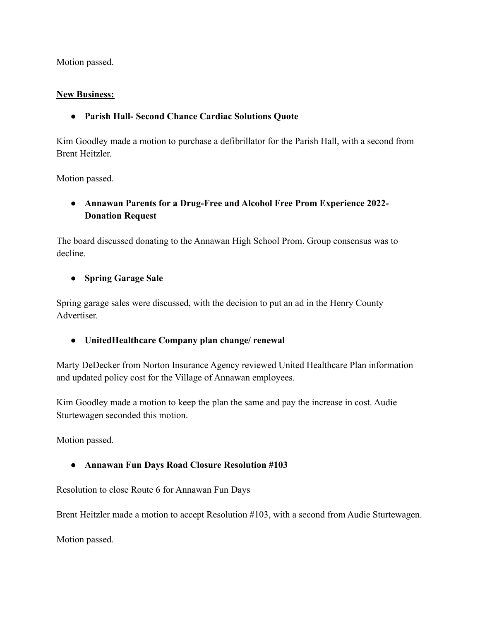Motion passed.

## **New Business:**

**● Parish Hall- Second Chance Cardiac Solutions Quote**

Kim Goodley made a motion to purchase a defibrillator for the Parish Hall, with a second from Brent Heitzler.

Motion passed.

**● Annawan Parents for a Drug-Free and Alcohol Free Prom Experience 2022- Donation Request**

The board discussed donating to the Annawan High School Prom. Group consensus was to decline.

# **● Spring Garage Sale**

Spring garage sales were discussed, with the decision to put an ad in the Henry County Advertiser.

**● UnitedHealthcare Company plan change/ renewal**

Marty DeDecker from Norton Insurance Agency reviewed United Healthcare Plan information and updated policy cost for the Village of Annawan employees.

Kim Goodley made a motion to keep the plan the same and pay the increase in cost. Audie Sturtewagen seconded this motion.

Motion passed.

**● Annawan Fun Days Road Closure Resolution #103**

Resolution to close Route 6 for Annawan Fun Days

Brent Heitzler made a motion to accept Resolution #103, with a second from Audie Sturtewagen.

Motion passed.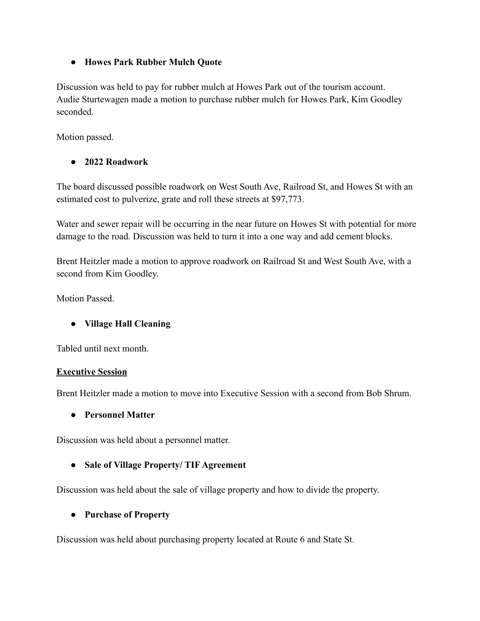## **● Howes Park Rubber Mulch Quote**

Discussion was held to pay for rubber mulch at Howes Park out of the tourism account. Audie Sturtewagen made a motion to purchase rubber mulch for Howes Park, Kim Goodley seconded.

Motion passed.

# **● 2022 Roadwork**

The board discussed possible roadwork on West South Ave, Railroad St, and Howes St with an estimated cost to pulverize, grate and roll these streets at \$97,773.

Water and sewer repair will be occurring in the near future on Howes St with potential for more damage to the road. Discussion was held to turn it into a one way and add cement blocks.

Brent Heitzler made a motion to approve roadwork on Railroad St and West South Ave, with a second from Kim Goodley.

Motion Passed.

# **● Village Hall Cleaning**

Tabled until next month.

## **Executive Session**

Brent Heitzler made a motion to move into Executive Session with a second from Bob Shrum.

### **● Personnel Matter**

Discussion was held about a personnel matter.

## **● Sale of Village Property/ TIF Agreement**

Discussion was held about the sale of village property and how to divide the property.

## **● Purchase of Property**

Discussion was held about purchasing property located at Route 6 and State St.